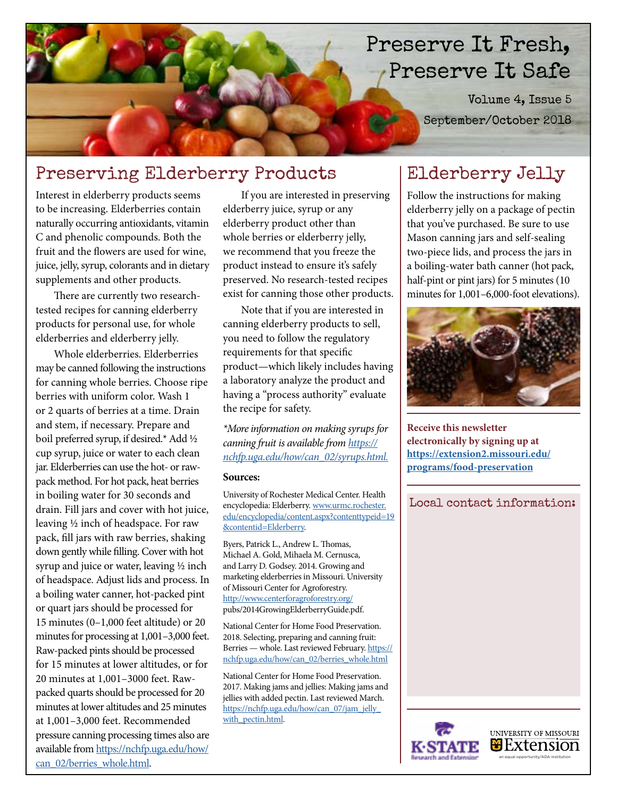# Preserve It Fresh, Preserve It Safe

Volume 4, Issue 5 September/October 2018

## Preserving Elderberry Products

Interest in elderberry products seems to be increasing. Elderberries contain naturally occurring antioxidants, vitamin C and phenolic compounds. Both the fruit and the flowers are used for wine, juice, jelly, syrup, colorants and in dietary supplements and other products.

There are currently two researchtested recipes for canning elderberry products for personal use, for whole elderberries and elderberry jelly.

Whole elderberries. Elderberries may be canned following the instructions for canning whole berries. Choose ripe berries with uniform color. Wash 1 or 2 quarts of berries at a time. Drain and stem, if necessary. Prepare and boil preferred syrup, if desired.\* Add ½ cup syrup, juice or water to each clean jar. Elderberries can use the hot- or rawpack method. For hot pack, heat berries in boiling water for 30 seconds and drain. Fill jars and cover with hot juice, leaving ½ inch of headspace. For raw pack, fill jars with raw berries, shaking down gently while filling. Cover with hot syrup and juice or water, leaving ½ inch of headspace. Adjust lids and process. In a boiling water canner, hot-packed pint or quart jars should be processed for 15 minutes (0–1,000 feet altitude) or 20 minutes for processing at 1,001–3,000 feet. Raw-packed pints should be processed for 15 minutes at lower altitudes, or for 20 minutes at 1,001–3000 feet. Rawpacked quarts should be processed for 20 minutes at lower altitudes and 25 minutes at 1,001–3,000 feet. Recommended pressure canning processing times also are available from [https://nchfp.uga.edu/how/](https://nchfp.uga.edu/how/can_02/berries_whole.html) [can\\_02/berries\\_whole.html.](https://nchfp.uga.edu/how/can_02/berries_whole.html)

If you are interested in preserving elderberry juice, syrup or any elderberry product other than whole berries or elderberry jelly, we recommend that you freeze the product instead to ensure it's safely preserved. No research-tested recipes exist for canning those other products.

Note that if you are interested in canning elderberry products to sell, you need to follow the regulatory requirements for that specific product—which likely includes having a laboratory analyze the product and having a "process authority" evaluate the recipe for safety.

*\*More information on making syrups for canning fruit is available from [https://](https://nchfp.uga.edu/how/can_02/syrups.html) [nchfp.uga.edu/how/can\\_02/syrups.html](https://nchfp.uga.edu/how/can_02/syrups.html).*

#### **Sources:**

University of Rochester Medical Center. Health encyclopedia: Elderberry. [www.urmc.rochester.](www.urmc.rochester.edu/encyclopedia/content.aspx?contenttypeid=19&contentid=Elderberry) [edu/encyclopedia/content.aspx?contenttypeid=19](www.urmc.rochester.edu/encyclopedia/content.aspx?contenttypeid=19&contentid=Elderberry) [&contentid=Elderberry.](www.urmc.rochester.edu/encyclopedia/content.aspx?contenttypeid=19&contentid=Elderberry)

Byers, Patrick L., Andrew L. Thomas, Michael A. Gold, Mihaela M. Cernusca, and Larry D. Godsey. 2014. Growing and marketing elderberries in Missouri. University of Missouri Center for Agroforestry. <http://www.centerforagroforestry.org/> pubs/2014GrowingElderberryGuide.pdf.

National Center for Home Food Preservation. 2018. Selecting, preparing and canning fruit: Berries - whole. Last reviewed February. https:// nchfp.uga.edu/how/can\_02/berries\_whole.html

National Center for Home Food Preservation. 2017. Making jams and jellies: Making jams and jellies with added pectin. Last reviewed March. [https://nchfp.uga.edu/how/can\\_07/jam\\_jelly\\_](https://nchfp.uga.edu/how/can_07/jam_jelly_with_pectin.html) with pectin.html.

### Elderberry Jelly

Follow the instructions for making elderberry jelly on a package of pectin that you've purchased. Be sure to use Mason canning jars and self-sealing two-piece lids, and process the jars in a boiling-water bath canner (hot pack, half-pint or pint jars) for 5 minutes (10 minutes for 1,001–6,000-foot elevations).



**Receive this newsletter electronically by signing up at [https://extension2.missouri.edu/](https://extension2.missouri.edu/programs/food-preservation) [programs/food-preservation](https://extension2.missouri.edu/programs/food-preservation)**

Local contact information: